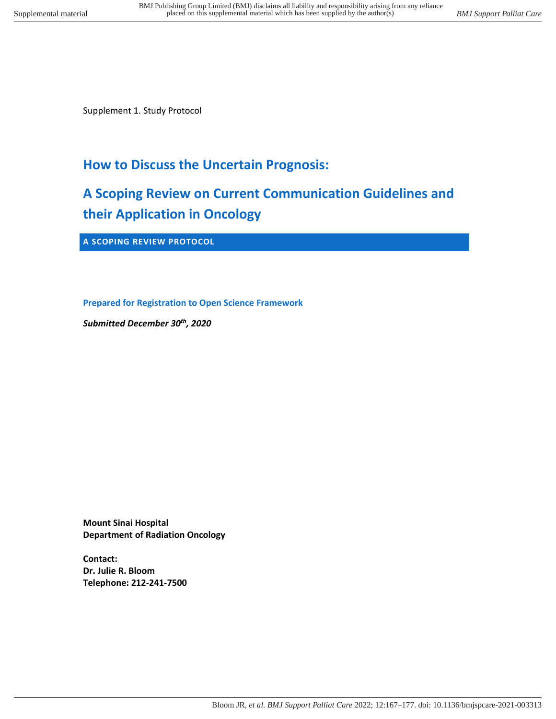Supplement 1. Study Protocol

# **How to Discuss the Uncertain Prognosis:**

# **A Scoping Review on Current Communication Guidelines and their Application in Oncology**

**A SCOPING REVIEW PROTOCOL** 

**Prepared for Registration to Open Science Framework** 

*Submitted December 30th , 2020* 

**Mount Sinai Hospital Department of Radiation Oncology** 

**Contact: Dr. Julie R. Bloom Telephone: 212-241-7500**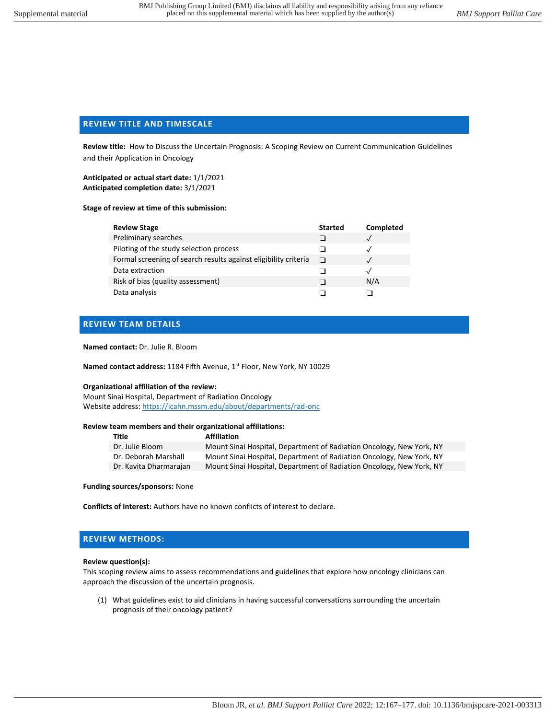# **REVIEW TITLE AND TIMESCALE**

**Review title:** How to Discuss the Uncertain Prognosis: A Scoping Review on Current Communication Guidelines and their Application in Oncology

**Anticipated or actual start date:** 1/1/2021 **Anticipated completion date:** 3/1/2021

#### **Stage of review at time of this submission:**

| <b>Review Stage</b>                                             | <b>Started</b> | Completed |
|-----------------------------------------------------------------|----------------|-----------|
| Preliminary searches                                            |                |           |
| Piloting of the study selection process                         |                |           |
| Formal screening of search results against eligibility criteria | l I            |           |
| Data extraction                                                 |                |           |
| Risk of bias (quality assessment)                               |                | N/A       |
| Data analysis                                                   |                |           |

## **REVIEW TEAM DETAILS**

#### **Named contact:** Dr. Julie R. Bloom

Named contact address: 1184 Fifth Avenue, 1<sup>st</sup> Floor, New York, NY 10029

#### **Organizational affiliation of the review:**

Mount Sinai Hospital, Department of Radiation Oncology Website address:<https://icahn.mssm.edu/about/departments/rad-onc>

#### **Review team members and their organizational affiliations:**

| Title                  | <b>Affiliation</b>                                                   |
|------------------------|----------------------------------------------------------------------|
| Dr. Julie Bloom        | Mount Sinai Hospital, Department of Radiation Oncology, New York, NY |
| Dr. Deborah Marshall   | Mount Sinai Hospital, Department of Radiation Oncology, New York, NY |
| Dr. Kavita Dharmarajan | Mount Sinai Hospital, Department of Radiation Oncology, New York, NY |

#### **Funding sources/sponsors:** None

**Conflicts of interest:** Authors have no known conflicts of interest to declare.

## **REVIEW METHODS:**

#### **Review question(s):**

This scoping review aims to assess recommendations and guidelines that explore how oncology clinicians can approach the discussion of the uncertain prognosis.

(1) What guidelines exist to aid clinicians in having successful conversations surrounding the uncertain prognosis of their oncology patient?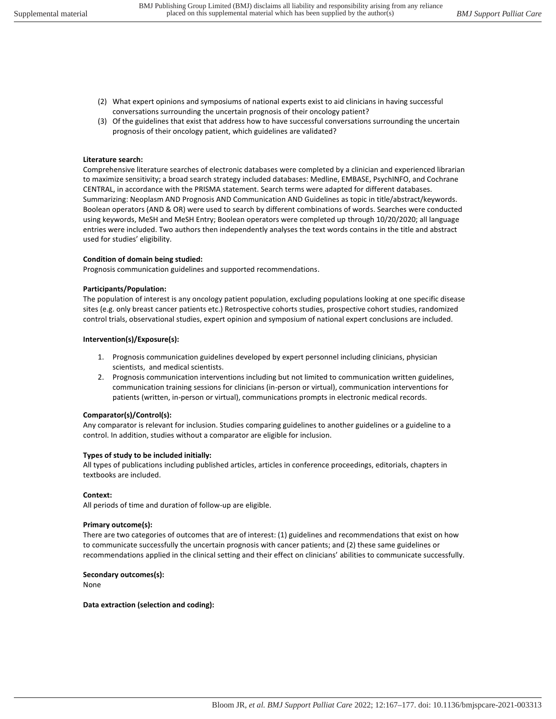- (2) What expert opinions and symposiums of national experts exist to aid clinicians in having successful conversations surrounding the uncertain prognosis of their oncology patient?
- (3) Of the guidelines that exist that address how to have successful conversations surrounding the uncertain prognosis of their oncology patient, which guidelines are validated?

## **Literature search:**

Comprehensive literature searches of electronic databases were completed by a clinician and experienced librarian to maximize sensitivity; a broad search strategy included databases: Medline, EMBASE, PsychINFO, and Cochrane CENTRAL, in accordance with the PRISMA statement. Search terms were adapted for different databases. Summarizing: Neoplasm AND Prognosis AND Communication AND Guidelines as topic in title/abstract/keywords. Boolean operators (AND & OR) were used to search by different combinations of words. Searches were conducted using keywords, MeSH and MeSH Entry; Boolean operators were completed up through 10/20/2020; all language entries were included. Two authors then independently analyses the text words contains in the title and abstract used for studies' eligibility.

#### **Condition of domain being studied:**

Prognosis communication guidelines and supported recommendations.

#### **Participants/Population:**

The population of interest is any oncology patient population, excluding populations looking at one specific disease sites (e.g. only breast cancer patients etc.) Retrospective cohorts studies, prospective cohort studies, randomized control trials, observational studies, expert opinion and symposium of national expert conclusions are included.

#### **Intervention(s)/Exposure(s):**

- 1. Prognosis communication guidelines developed by expert personnel including clinicians, physician scientists, and medical scientists.
- 2. Prognosis communication interventions including but not limited to communication written guidelines, communication training sessions for clinicians (in-person or virtual), communication interventions for patients (written, in-person or virtual), communications prompts in electronic medical records.

## **Comparator(s)/Control(s):**

Any comparator is relevant for inclusion. Studies comparing guidelines to another guidelines or a guideline to a control. In addition, studies without a comparator are eligible for inclusion.

## **Types of study to be included initially:**

All types of publications including published articles, articles in conference proceedings, editorials, chapters in textbooks are included.

## **Context:**

All periods of time and duration of follow-up are eligible.

#### **Primary outcome(s):**

There are two categories of outcomes that are of interest: (1) guidelines and recommendations that exist on how to communicate successfully the uncertain prognosis with cancer patients; and (2) these same guidelines or recommendations applied in the clinical setting and their effect on clinicians' abilities to communicate successfully.

#### **Secondary outcomes(s):**

None

#### **Data extraction (selection and coding):**

Bloom JR*, et al. BMJ Support Palliat Care* 2022; 12:167–177. doi: 10.1136/bmjspcare-2021-003313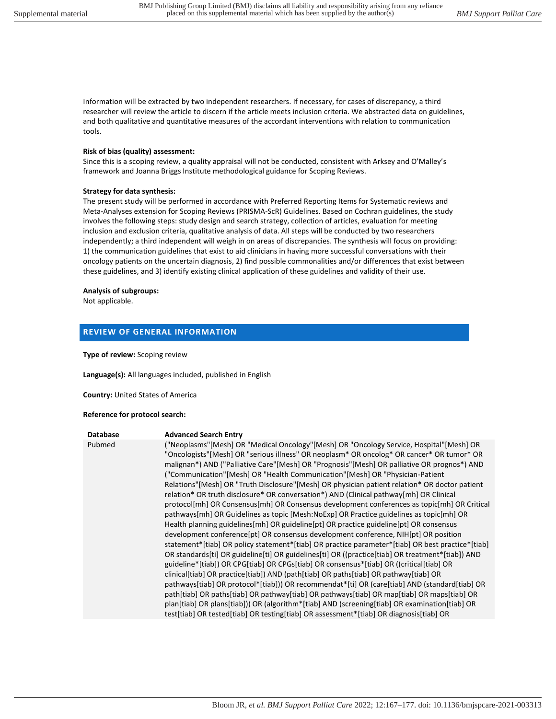Information will be extracted by two independent researchers. If necessary, for cases of discrepancy, a third researcher will review the article to discern if the article meets inclusion criteria. We abstracted data on guidelines, and both qualitative and quantitative measures of the accordant interventions with relation to communication tools.

#### **Risk of bias (quality) assessment:**

Since this is a scoping review, a quality appraisal will not be conducted, consistent with Arksey and O'Malley's framework and Joanna Briggs Institute methodological guidance for Scoping Reviews.

#### **Strategy for data synthesis:**

The present study will be performed in accordance with Preferred Reporting Items for Systematic reviews and Meta-Analyses extension for Scoping Reviews (PRISMA-ScR) Guidelines. Based on Cochran guidelines, the study involves the following steps: study design and search strategy, collection of articles, evaluation for meeting inclusion and exclusion criteria, qualitative analysis of data. All steps will be conducted by two researchers independently; a third independent will weigh in on areas of discrepancies. The synthesis will focus on providing: 1) the communication guidelines that exist to aid clinicians in having more successful conversations with their oncology patients on the uncertain diagnosis, 2) find possible commonalities and/or differences that exist between these guidelines, and 3) identify existing clinical application of these guidelines and validity of their use.

#### **Analysis of subgroups:**

Not applicable.

# **REVIEW OF GENERAL INFORMATION**

**Type of review:** Scoping review

**Language(s):** All languages included, published in English

**Country:** United States of America

#### **Reference for protocol search:**

| <b>Database</b> | <b>Advanced Search Entry</b>                                                                                                                                                                                                                                                                                                                                                                                                                                                                                                                                                                                                                                                                                                                                                                                                                                                                                                                                                                                                                                                                                                                                                                                                                                                                                                                                                                                                                                                                                                                                                                                                                                                                                                              |
|-----------------|-------------------------------------------------------------------------------------------------------------------------------------------------------------------------------------------------------------------------------------------------------------------------------------------------------------------------------------------------------------------------------------------------------------------------------------------------------------------------------------------------------------------------------------------------------------------------------------------------------------------------------------------------------------------------------------------------------------------------------------------------------------------------------------------------------------------------------------------------------------------------------------------------------------------------------------------------------------------------------------------------------------------------------------------------------------------------------------------------------------------------------------------------------------------------------------------------------------------------------------------------------------------------------------------------------------------------------------------------------------------------------------------------------------------------------------------------------------------------------------------------------------------------------------------------------------------------------------------------------------------------------------------------------------------------------------------------------------------------------------------|
| Pubmed          | ("Neoplasms"[Mesh] OR "Medical Oncology"[Mesh] OR "Oncology Service, Hospital"[Mesh] OR<br>"Oncologists"[Mesh] OR "serious illness" OR neoplasm* OR oncolog* OR cancer* OR tumor* OR<br>malignan*) AND ("Palliative Care"[Mesh] OR "Prognosis"[Mesh] OR palliative OR prognos*) AND<br>("Communication" [Mesh] OR "Health Communication" [Mesh] OR "Physician-Patient<br>Relations" [Mesh] OR "Truth Disclosure" [Mesh] OR physician patient relation* OR doctor patient<br>relation* OR truth disclosure* OR conversation*) AND (Clinical pathway[mh] OR Clinical<br>protocol[mh] OR Consensus[mh] OR Consensus development conferences as topic[mh] OR Critical<br>pathways[mh] OR Guidelines as topic [Mesh:NoExp] OR Practice guidelines as topic[mh] OR<br>Health planning guidelines[mh] OR guideline[pt] OR practice guideline[pt] OR consensus<br>development conference [pt] OR consensus development conference, NIH [pt] OR position<br>statement*[tiab] OR policy statement*[tiab] OR practice parameter*[tiab] OR best practice*[tiab]<br>OR standards [ti] OR guideline [ti] OR guidelines [ti] OR ((practice [tiab] OR treatment* [tiab]) AND<br>guideline*[tiab]) OR CPG[tiab] OR CPGs[tiab] OR consensus*[tiab] OR ((critical[tiab] OR<br>clinical[tiab] OR practice[tiab]) AND (path[tiab] OR paths[tiab] OR pathway[tiab] OR<br>pathways[tiab] OR protocol*[tiab])) OR recommendat*[ti] OR (care[tiab] AND (standard[tiab] OR<br>path[tiab] OR paths[tiab] OR pathway[tiab] OR pathways[tiab] OR map[tiab] OR maps[tiab] OR<br>plan[tiab] OR plans[tiab])) OR (algorithm*[tiab] AND (screening[tiab] OR examination[tiab] OR<br>test[tiab] OR tested[tiab] OR testing[tiab] OR assessment*[tiab] OR diagnosis[tiab] OR |
|                 |                                                                                                                                                                                                                                                                                                                                                                                                                                                                                                                                                                                                                                                                                                                                                                                                                                                                                                                                                                                                                                                                                                                                                                                                                                                                                                                                                                                                                                                                                                                                                                                                                                                                                                                                           |